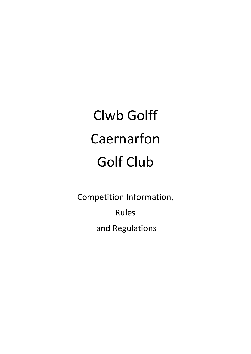# Clwb Golff Caernarfon Golf Club

Competition Information,

Rules

and Regulations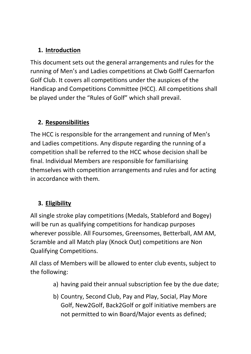#### **1. Introduction**

This document sets out the general arrangements and rules for the running of Men's and Ladies competitions at Clwb Golff Caernarfon Golf Club. It covers all competitions under the auspices of the Handicap and Competitions Committee (HCC). All competitions shall be played under the "Rules of Golf" which shall prevail.

## **2. Responsibilities**

The HCC is responsible for the arrangement and running of Men's and Ladies competitions. Any dispute regarding the running of a competition shall be referred to the HCC whose decision shall be final. Individual Members are responsible for familiarising themselves with competition arrangements and rules and for acting in accordance with them.

## **3. Eligibility**

All single stroke play competitions (Medals, Stableford and Bogey) will be run as qualifying competitions for handicap purposes wherever possible. All Foursomes, Greensomes, Betterball, AM AM, Scramble and all Match play (Knock Out) competitions are Non Qualifying Competitions.

All class of Members will be allowed to enter club events, subject to the following:

- a) having paid their annual subscription fee by the due date;
- b) Country, Second Club, Pay and Play, Social, Play More Golf, New2Golf, Back2Golf or golf initiative members are not permitted to win Board/Major events as defined;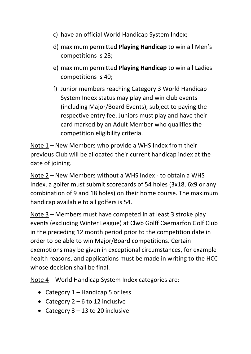- c) have an official World Handicap System Index;
- d) maximum permitted **Playing Handicap** to win all Men's competitions is 28;
- e) maximum permitted **Playing Handicap** to win all Ladies competitions is 40;
- f) Junior members reaching Category 3 World Handicap System Index status may play and win club events (including Major/Board Events), subject to paying the respective entry fee. Juniors must play and have their card marked by an Adult Member who qualifies the competition eligibility criteria.

Note 1 – New Members who provide a WHS Index from their previous Club will be allocated their current handicap index at the date of joining.

Note 2 – New Members without a WHS Index - to obtain a WHS Index, a golfer must submit scorecards of 54 holes (3x18, 6x9 or any combination of 9 and 18 holes) on their home course. The maximum handicap available to all golfers is 54.

Note 3 – Members must have competed in at least 3 stroke play events (excluding Winter League) at Clwb Golff Caernarfon Golf Club in the preceding 12 month period prior to the competition date in order to be able to win Major/Board competitions. Certain exemptions may be given in exceptional circumstances, for example health reasons, and applications must be made in writing to the HCC whose decision shall be final.

Note 4 – World Handicap System Index categories are:

- Category  $1 -$  Handicap 5 or less
- Category  $2 6$  to 12 inclusive
- Category  $3 13$  to 20 inclusive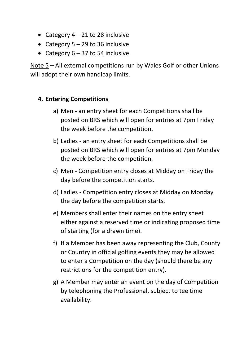- Category  $4 21$  to 28 inclusive
- Category  $5 29$  to 36 inclusive
- Category  $6 37$  to 54 inclusive

Note 5 – All external competitions run by Wales Golf or other Unions will adopt their own handicap limits.

#### **4. Entering Competitions**

- a) Men an entry sheet for each Competitions shall be posted on BRS which will open for entries at 7pm Friday the week before the competition.
- b) Ladies an entry sheet for each Competitions shall be posted on BRS which will open for entries at 7pm Monday the week before the competition.
- c) Men Competition entry closes at Midday on Friday the day before the competition starts.
- d) Ladies Competition entry closes at Midday on Monday the day before the competition starts.
- e) Members shall enter their names on the entry sheet either against a reserved time or indicating proposed time of starting (for a drawn time).
- f) If a Member has been away representing the Club, County or Country in official golfing events they may be allowed to enter a Competition on the day (should there be any restrictions for the competition entry).
- g) A Member may enter an event on the day of Competition by telephoning the Professional, subject to tee time availability.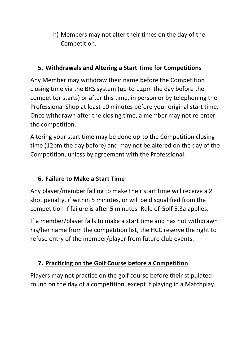h) Members may not alter their times on the day of the Competition.

#### **5. Withdrawals and Altering a Start Time for Competitions**

Any Member may withdraw their name before the Competition closing time via the BRS system (up-to 12pm the day before the competitor starts) or after this time, in person or by telephoning the Professional Shop at least 10 minutes before your original start time. Once withdrawn after the closing time, a member may not re-enter the competition.

Altering your start time may be done up-to the Competition closing time (12pm the day before) and may not be altered on the day of the Competition, unless by agreement with the Professional.

# **6. Failure to Make a Start Time**

Any player/member failing to make their start time will receive a 2 shot penalty, if within 5 minutes, or will be disqualified from the competition if failure is after 5 minutes. Rule of Golf 5.3a applies.

If a member/player fails to make a start time and has not withdrawn his/her name from the competition list, the HCC reserve the right to refuse entry of the member/player from future club events.

# **7. Practicing on the Golf Course before a Competition**

Players may not practice on the golf course before their stipulated round on the day of a competition, except if playing in a Matchplay.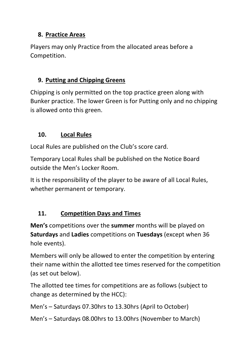#### **8. Practice Areas**

Players may only Practice from the allocated areas before a Competition.

#### **9. Putting and Chipping Greens**

Chipping is only permitted on the top practice green along with Bunker practice. The lower Green is for Putting only and no chipping is allowed onto this green.

## **10. Local Rules**

Local Rules are published on the Club's score card.

Temporary Local Rules shall be published on the Notice Board outside the Men's Locker Room.

It is the responsibility of the player to be aware of all Local Rules, whether permanent or temporary.

## **11. Competition Days and Times**

**Men's** competitions over the **summer** months will be played on **Saturdays** and **Ladies** competitions on **Tuesdays** (except when 36 hole events).

Members will only be allowed to enter the competition by entering their name within the allotted tee times reserved for the competition (as set out below).

The allotted tee times for competitions are as follows (subject to change as determined by the HCC):

Men's – Saturdays 07.30hrs to 13.30hrs (April to October)

Men's – Saturdays 08.00hrs to 13.00hrs (November to March)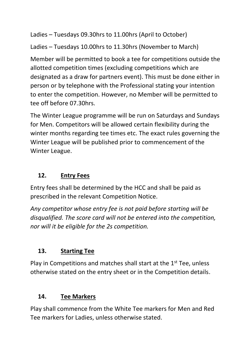Ladies – Tuesdays 09.30hrs to 11.00hrs (April to October)

Ladies – Tuesdays 10.00hrs to 11.30hrs (November to March)

Member will be permitted to book a tee for competitions outside the allotted competition times (excluding competitions which are designated as a draw for partners event). This must be done either in person or by telephone with the Professional stating your intention to enter the competition. However, no Member will be permitted to tee off before 07.30hrs.

The Winter League programme will be run on Saturdays and Sundays for Men. Competitors will be allowed certain flexibility during the winter months regarding tee times etc. The exact rules governing the Winter League will be published prior to commencement of the Winter League.

## **12. Entry Fees**

Entry fees shall be determined by the HCC and shall be paid as prescribed in the relevant Competition Notice.

*Any competitor whose entry fee is not paid before starting will be disqualified. The score card will not be entered into the competition, nor will it be eligible for the 2s competition.*

## **13. Starting Tee**

Play in Competitions and matches shall start at the  $1<sup>st</sup>$  Tee, unless otherwise stated on the entry sheet or in the Competition details.

## **14. Tee Markers**

Play shall commence from the White Tee markers for Men and Red Tee markers for Ladies, unless otherwise stated.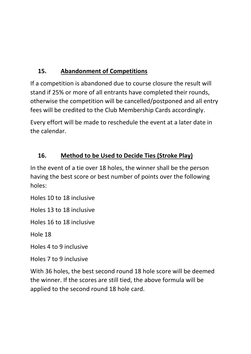# **15. Abandonment of Competitions**

If a competition is abandoned due to course closure the result will stand if 25% or more of all entrants have completed their rounds, otherwise the competition will be cancelled/postponed and all entry fees will be credited to the Club Membership Cards accordingly.

Every effort will be made to reschedule the event at a later date in the calendar.

# **16. Method to be Used to Decide Ties (Stroke Play)**

In the event of a tie over 18 holes, the winner shall be the person having the best score or best number of points over the following holes:

Holes 10 to 18 inclusive

Holes 13 to 18 inclusive

Holes 16 to 18 inclusive

Hole 18

Holes 4 to 9 inclusive

Holes 7 to 9 inclusive

With 36 holes, the best second round 18 hole score will be deemed the winner. If the scores are still tied, the above formula will be applied to the second round 18 hole card.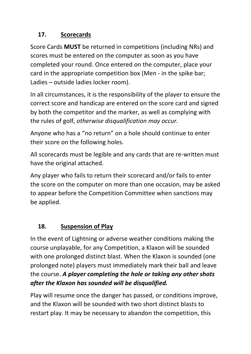# **17. Scorecards**

Score Cards **MUST** be returned in competitions (including NRs) and scores must be entered on the computer as soon as you have completed your round. Once entered on the computer, place your card in the appropriate competition box (Men - in the spike bar; Ladies – outside ladies locker room).

In all circumstances, it is the responsibility of the player to ensure the correct score and handicap are entered on the score card and signed by both the competitor and the marker, as well as complying with the rules of golf, *otherwise disqualification may occur.*

Anyone who has a "no return" on a hole should continue to enter their score on the following holes.

All scorecards must be legible and any cards that are re-written must have the original attached.

Any player who fails to return their scorecard and/or fails to enter the score on the computer on more than one occasion, may be asked to appear before the Competition Committee when sanctions may be applied.

# **18. Suspension of Play**

In the event of Lightning or adverse weather conditions making the course unplayable, for any Competition, a Klaxon will be sounded with one prolonged distinct blast. When the Klaxon is sounded (one prolonged note) players must immediately mark their ball and leave the course. *A player completing the hole or taking any other shots after the Klaxon has sounded will be disqualified.*

Play will resume once the danger has passed, or conditions improve, and the Klaxon will be sounded with two short distinct blasts to restart play. It may be necessary to abandon the competition, this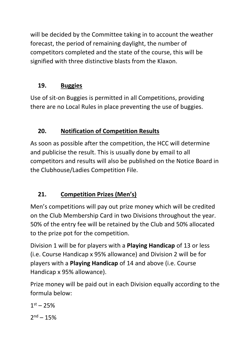will be decided by the Committee taking in to account the weather forecast, the period of remaining daylight, the number of competitors completed and the state of the course, this will be signified with three distinctive blasts from the Klaxon.

## **19. Buggies**

Use of sit-on Buggies is permitted in all Competitions, providing there are no Local Rules in place preventing the use of buggies.

# **20. Notification of Competition Results**

As soon as possible after the competition, the HCC will determine and publicise the result. This is usually done by email to all competitors and results will also be published on the Notice Board in the Clubhouse/Ladies Competition File.

# **21. Competition Prizes (Men's)**

Men's competitions will pay out prize money which will be credited on the Club Membership Card in two Divisions throughout the year. 50% of the entry fee will be retained by the Club and 50% allocated to the prize pot for the competition.

Division 1 will be for players with a **Playing Handicap** of 13 or less (i.e. Course Handicap x 95% allowance) and Division 2 will be for players with a **Playing Handicap** of 14 and above (i.e. Course Handicap x 95% allowance).

Prize money will be paid out in each Division equally according to the formula below:

 $1<sup>st</sup> - 25%$  $2<sup>nd</sup> – 15%$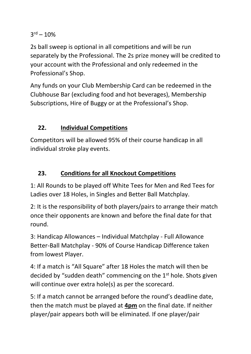$3<sup>rd</sup> - 10%$ 

2s ball sweep is optional in all competitions and will be run separately by the Professional. The 2s prize money will be credited to your account with the Professional and only redeemed in the Professional's Shop.

Any funds on your Club Membership Card can be redeemed in the Clubhouse Bar (excluding food and hot beverages), Membership Subscriptions, Hire of Buggy or at the Professional's Shop.

## **22. Individual Competitions**

Competitors will be allowed 95% of their course handicap in all individual stroke play events.

## **23. Conditions for all Knockout Competitions**

1: All Rounds to be played off White Tees for Men and Red Tees for Ladies over 18 Holes, in Singles and Better Ball Matchplay.

2: It is the responsibility of both players/pairs to arrange their match once their opponents are known and before the final date for that round.

3: Handicap Allowances – Individual Matchplay - Full Allowance Better-Ball Matchplay - 90% of Course Handicap Difference taken from lowest Player.

4: If a match is "All Square" after 18 Holes the match will then be decided by "sudden death" commencing on the 1st hole. Shots given will continue over extra hole(s) as per the scorecard.

5: If a match cannot be arranged before the round's deadline date, then the match must be played at **4pm** on the final date. If neither player/pair appears both will be eliminated. If one player/pair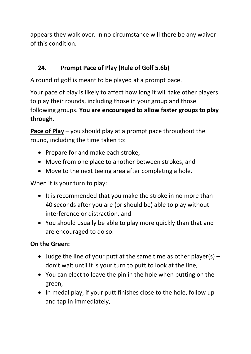appears they walk over. In no circumstance will there be any waiver of this condition.

# **24. Prompt Pace of Play (Rule of Golf 5.6b)**

A round of golf is meant to be played at a prompt pace.

Your pace of play is likely to affect how long it will take other players to play their rounds, including those in your group and those following groups. **You are encouraged to allow faster groups to play through**.

**Pace of Play** – you should play at a prompt pace throughout the round, including the time taken to:

- Prepare for and make each stroke,
- Move from one place to another between strokes, and
- Move to the next teeing area after completing a hole.

When it is your turn to play:

- It is recommended that you make the stroke in no more than 40 seconds after you are (or should be) able to play without interference or distraction, and
- You should usually be able to play more quickly than that and are encouraged to do so.

#### **On the Green:**

- Judge the line of your putt at the same time as other player(s)  $$ don't wait until it is your turn to putt to look at the line,
- You can elect to leave the pin in the hole when putting on the green,
- In medal play, if your putt finishes close to the hole, follow up and tap in immediately,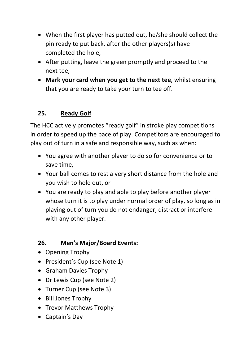- When the first player has putted out, he/she should collect the pin ready to put back, after the other players(s) have completed the hole,
- After putting, leave the green promptly and proceed to the next tee,
- **Mark your card when you get to the next tee**, whilst ensuring that you are ready to take your turn to tee off.

## **25. Ready Golf**

The HCC actively promotes "ready golf" in stroke play competitions in order to speed up the pace of play. Competitors are encouraged to play out of turn in a safe and responsible way, such as when:

- You agree with another player to do so for convenience or to save time,
- Your ball comes to rest a very short distance from the hole and you wish to hole out, or
- You are ready to play and able to play before another player whose turn it is to play under normal order of play, so long as in playing out of turn you do not endanger, distract or interfere with any other player.

## **26. Men's Major/Board Events:**

- Opening Trophy
- President's Cup (see Note 1)
- Graham Davies Trophy
- Dr Lewis Cup (see Note 2)
- Turner Cup (see Note 3)
- Bill Jones Trophy
- Trevor Matthews Trophy
- Captain's Day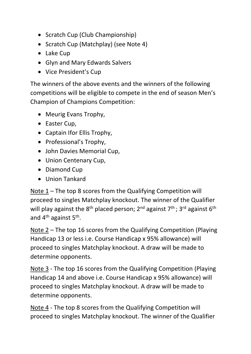- Scratch Cup (Club Championship)
- Scratch Cup (Matchplay) (see Note 4)
- Lake Cup
- Glyn and Mary Edwards Salvers
- Vice President's Cup

The winners of the above events and the winners of the following competitions will be eligible to compete in the end of season Men's Champion of Champions Competition:

- Meurig Evans Trophy,
- Easter Cup,
- Captain Ifor Ellis Trophy,
- Professional's Trophy,
- John Davies Memorial Cup,
- Union Centenary Cup,
- Diamond Cup
- Union Tankard

Note 1 – The top 8 scores from the Qualifying Competition will proceed to singles Matchplay knockout. The winner of the Qualifier will play against the  $8<sup>th</sup>$  placed person;  $2<sup>nd</sup>$  against  $7<sup>th</sup>$ ;  $3<sup>rd</sup>$  against  $6<sup>th</sup>$ and 4<sup>th</sup> against 5<sup>th</sup>.

Note 2 – The top 16 scores from the Qualifying Competition (Playing Handicap 13 or less i.e. Course Handicap x 95% allowance) will proceed to singles Matchplay knockout. A draw will be made to determine opponents.

Note 3 - The top 16 scores from the Qualifying Competition (Playing Handicap 14 and above i.e. Course Handicap x 95% allowance) will proceed to singles Matchplay knockout. A draw will be made to determine opponents.

Note 4 - The top 8 scores from the Qualifying Competition will proceed to singles Matchplay knockout. The winner of the Qualifier